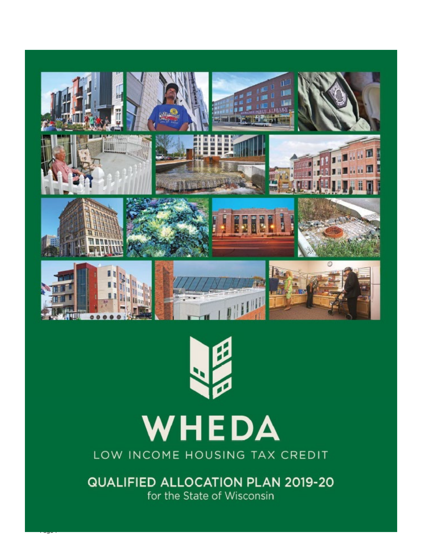



# WHEDA

LOW INCOME HOUSING TAX CREDIT

**QUALIFIED ALLOCATION PLAN 2019-20** for the State of Wisconsin

r age 1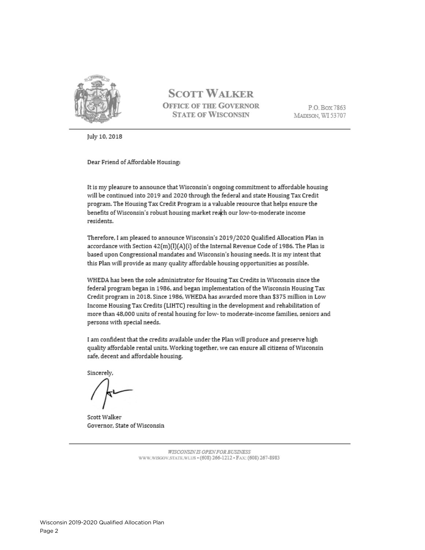

## **SCOTT WALKER OFFICE OF THE GOVERNOR STATE OF WISCONSIN**

P.O. Box 7863 MADISON, WI 53707

July 10, 2018

Dear Friend of Affordable Housing:

It is my pleasure to announce that Wisconsin's ongoing commitment to affordable housing will be continued into 2019 and 2020 through the federal and state Housing Tax Credit program. The Housing Tax Credit Program is a valuable resource that helps ensure the benefits of Wisconsin's robust housing market reach our low-to-moderate income residents.

Therefore, I am pleased to announce Wisconsin's 2019/2020 Qualified Allocation Plan in accordance with Section 42(m)(I)(A)(i) of the Internal Revenue Code of 1986. The Plan is based upon Congressional mandates and Wisconsin's housing needs. It is my intent that this Plan will provide as many quality affordable housing opportunities as possible.

WHEDA has been the sole administrator for Housing Tax Credits in Wisconsin since the federal program began in 1986, and began implementation of the Wisconsin Housing Tax Credit program in 2018. Since 1986, WHEDA has awarded more than \$375 million in Low Income Housing Tax Credits (LIHTC) resulting in the development and rehabilitation of more than 48,000 units of rental housing for low- to moderate-income families, seniors and persons with special needs.

I am confident that the credits available under the Plan will produce and preserve high quality affordable rental units. Working together, we can ensure all citizens of Wisconsin safe, decent and affordable housing.

Sincerely.

Scott Walker Governor, State of Wisconsin

WISCONSIN IS OPEN FOR BUSINESS WWW.WISGOV.STATE.WLUS = (608) 266-1212 = FAX: (608) 267-8983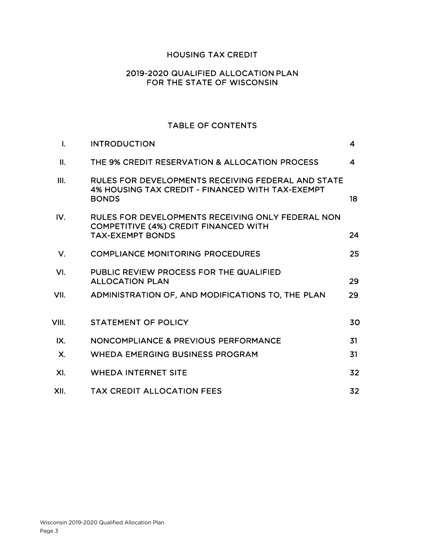#### HOUSING TAX CREDIT

#### 2019-2020 QUALIFIED ALLOCATION PLAN FOR THE STATE OF WISCONSIN

#### TABLE OF CONTENTS

| $\mathbf{I}$ . | <b>INTRODUCTION</b>                                                                                                    | 4  |
|----------------|------------------------------------------------------------------------------------------------------------------------|----|
| II.            | THE 9% CREDIT RESERVATION & ALLOCATION PROCESS                                                                         | 4  |
| III.           | RULES FOR DEVELOPMENTS RECEIVING FEDERAL AND STATE<br>4% HOUSING TAX CREDIT - FINANCED WITH TAX-EXEMPT<br><b>BONDS</b> | 18 |
| IV.            | RULES FOR DEVELOPMENTS RECEIVING ONLY FEDERAL NON<br>COMPETITIVE (4%) CREDIT FINANCED WITH<br><b>TAX-EXEMPT BONDS</b>  | 24 |
| $V_{\cdot}$    | <b>COMPLIANCE MONITORING PROCEDURES</b>                                                                                | 25 |
| VI.            | PUBLIC REVIEW PROCESS FOR THE QUALIFIED<br><b>ALLOCATION PLAN</b>                                                      | 29 |
| VII.           | ADMINISTRATION OF, AND MODIFICATIONS TO, THE PLAN                                                                      | 29 |
| VIII.          | <b>STATEMENT OF POLICY</b>                                                                                             | 30 |
| IX.            | NONCOMPLIANCE & PREVIOUS PERFORMANCE                                                                                   | 31 |
| $\mathsf{X}.$  | <b>WHEDA EMERGING BUSINESS PROGRAM</b>                                                                                 | 31 |
| XI.            | <b>WHEDA INTERNET SITE</b>                                                                                             | 32 |
| XII.           | <b>TAX CREDIT ALLOCATION FEES</b>                                                                                      | 32 |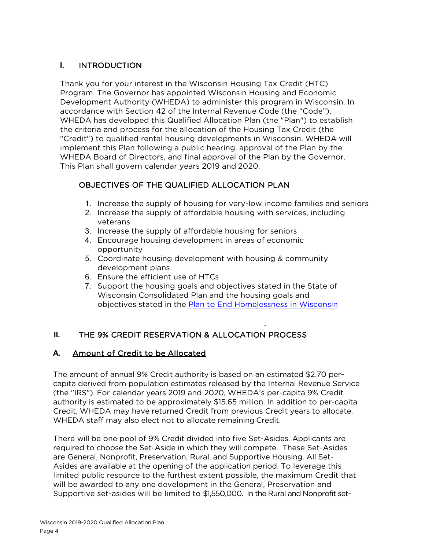## **I.** INTRODUCTION

Thank you for your interest in the Wisconsin Housing Tax Credit (HTC) Program. The Governor has appointed Wisconsin Housing and Economic Development Authority (WHEDA) to administer this program in Wisconsin. In accordance with Section 42 of the Internal Revenue Code (the "Code"), WHEDA has developed this Qualified Allocation Plan (the "Plan") to establish the criteria and process for the allocation of the Housing Tax Credit (the "Credit") to qualified rental housing developments in Wisconsin. WHEDA will implement this Plan following a public hearing, approval of the Plan by the WHEDA Board of Directors, and final approval of the Plan by the Governor. This Plan shall govern calendar years 2019 and 2020.

## OBJECTIVES OF THE QUALIFIED ALLOCATION PLAN

- 1. Increase the supply of housing for very-low income families and seniors
- 2. Increase the supply of affordable housing with services, including veterans
- 3. Increase the supply of affordable housing for seniors
- 4. Encourage housing development in areas of economic opportunity
- 5. Coordinate housing development with housing & community development plans
- 6. Ensure the efficient use of HTCs
- 7. Support the housing goals and objectives stated in the State of Wisconsin Consolidated Plan and the housing goals and objectives stated in the [Plan to End Homelessness](http://cdm16119.contentdm.oclc.org/cdm/singleitem/collection/p267601coll4/id/1476/rec/3) in Wisconsin

## **II.** THE 9% CREDIT RESERVATION & ALLOCATION PROCESS

#### **A.** Amount of Credit to be Allocated

The amount of annual 9% Credit authority is based on an estimated \$2.70 percapita derived from population estimates released by the Internal Revenue Service (the "IRS"). For calendar years 2019 and 2020, WHEDA's per-capita 9% Credit authority is estimated to be approximately \$15.65 million. In addition to per-capita Credit, WHEDA may have returned Credit from previous Credit years to allocate. WHEDA staff may also elect not to allocate remaining Credit.

There will be one pool of 9% Credit divided into five Set-Asides. Applicants are required to choose the Set-Aside in which they will compete. These Set-Asides are General, Nonprofit, Preservation, Rural, and Supportive Housing. All Set-Asides are available at the opening of the application period. To leverage this limited public resource to the furthest extent possible, the maximum Credit that will be awarded to any one development in the General, Preservation and Supportive set-asides will be limited to \$1,550,000. In the Rural and Nonprofit set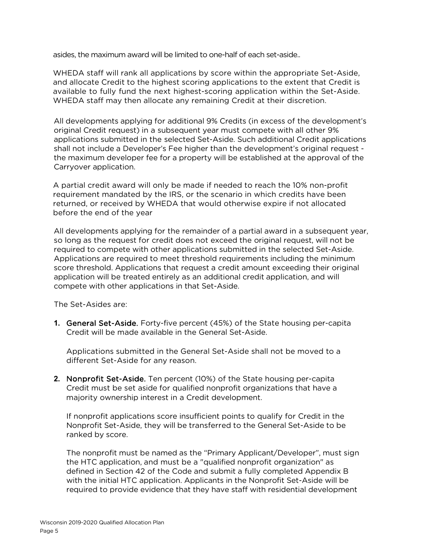asides, the maximum award will be limited to one-half of each set-aside..

WHEDA staff will rank all applications by score within the appropriate Set-Aside, and allocate Credit to the highest scoring applications to the extent that Credit is available to fully fund the next highest-scoring application within the Set-Aside. WHEDA staff may then allocate any remaining Credit at their discretion.

All developments applying for additional 9% Credits (in excess of the development's original Credit request) in a subsequent year must compete with all other 9% applications submitted in the selected Set-Aside. Such additional Credit applications shall not include a Developer's Fee higher than the development's original request the maximum developer fee for a property will be established at the approval of the Carryover application.

A partial credit award will only be made if needed to reach the 10% non-profit requirement mandated by the IRS, or the scenario in which credits have been returned, or received by WHEDA that would otherwise expire if not allocated before the end of the year

All developments applying for the remainder of a partial award in a subsequent year, so long as the request for credit does not exceed the original request, will not be required to compete with other applications submitted in the selected Set-Aside. Applications are required to meet threshold requirements including the minimum score threshold. Applications that request a credit amount exceeding their original application will be treated entirely as an additional credit application, and will compete with other applications in that Set-Aside.

The Set-Asides are:

**1.** General Set-Aside. Forty-five percent (45%) of the State housing per-capita Credit will be made available in the General Set-Aside.

Applications submitted in the General Set-Aside shall not be moved to a different Set-Aside for any reason.

**2.** Nonprofit Set-Aside. Ten percent (10%) of the State housing per-capita Credit must be set aside for qualified nonprofit organizations that have a majority ownership interest in a Credit development.

If nonprofit applications score insufficient points to qualify for Credit in the Nonprofit Set-Aside, they will be transferred to the General Set-Aside to be ranked by score.

The nonprofit must be named as the "Primary Applicant/Developer", must sign the HTC application, and must be a "qualified nonprofit organization" as defined in Section 42 of the Code and submit a fully completed Appendix B with the initial HTC application. Applicants in the Nonprofit Set-Aside will be required to provide evidence that they have staff with residential development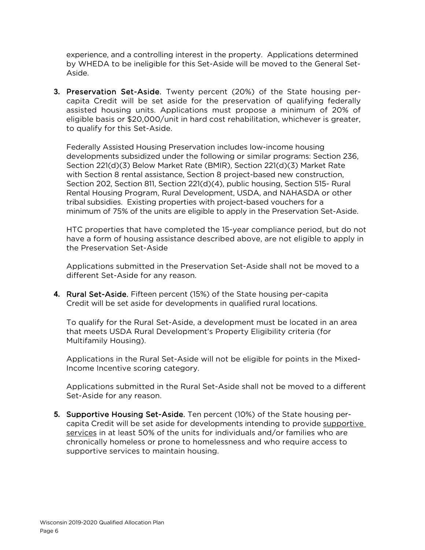experience, and a controlling interest in the property. Applications determined by WHEDA to be ineligible for this Set-Aside will be moved to the General Set-Aside.

**3.** Preservation Set-Aside. Twenty percent (20%) of the State housing percapita Credit will be set aside for the preservation of qualifying federally assisted housing units. Applications must propose a minimum of 20% of eligible basis or \$20,000/unit in hard cost rehabilitation, whichever is greater, to qualify for this Set-Aside.

Federally Assisted Housing Preservation includes low-income housing developments subsidized under the following or similar programs: Section 236, Section 221(d)(3) Below Market Rate (BMIR), Section 221(d)(3) Market Rate with Section 8 rental assistance, Section 8 project-based new construction, Section 202, Section 811, Section 221(d)(4), public housing, Section 515- Rural Rental Housing Program, Rural Development, USDA, and NAHASDA or other tribal subsidies. Existing properties with project-based vouchers for a minimum of 75% of the units are eligible to apply in the Preservation Set-Aside.

HTC properties that have completed the 15-year compliance period, but do not have a form of housing assistance described above, are not eligible to apply in the Preservation Set-Aside

Applications submitted in the Preservation Set-Aside shall not be moved to a different Set-Aside for any reason.

**4.** Rural Set-Aside. Fifteen percent (15%) of the State housing per-capita Credit will be set aside for developments in qualified rural locations.

To qualify for the Rural Set-Aside, a development must be located in an area that meets USDA Rural Development's Property Eligibility criteria (for Multifamily Housing).

Applications in the Rural Set-Aside will not be eligible for points in the Mixed-Income Incentive scoring category.

Applications submitted in the Rural Set-Aside shall not be moved to a different Set-Aside for any reason.

**5.** Supportive Housing Set-Aside. Ten percent (10%) of the State housing percapita Credit will be set aside for developments intending to provide supportive services in at least 50% of the units for individuals and/or families who are chronically homeless or prone to homelessness and who require access to supportive services to maintain housing.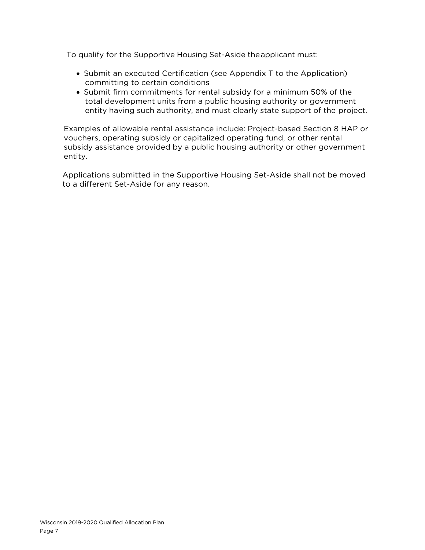To qualify for the Supportive Housing Set-Aside the applicant must:

- Submit an executed Certification (see Appendix T to the Application) committing to certain conditions
- Submit firm commitments for rental subsidy for a minimum 50% of the total development units from a public housing authority or government entity having such authority, and must clearly state support of the project.

Examples of allowable rental assistance include: Project-based Section 8 HAP or vouchers, operating subsidy or capitalized operating fund, or other rental subsidy assistance provided by a public housing authority or other government entity.

Applications submitted in the Supportive Housing Set-Aside shall not be moved to a different Set-Aside for any reason.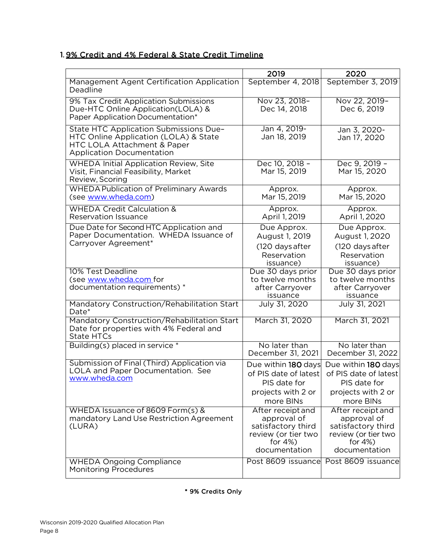## 1. 9% Credit and 4% Federal & State Credit Timeline

|                                                                                                                                                    | 2019                                                                                                          | 2020                                                                                                          |
|----------------------------------------------------------------------------------------------------------------------------------------------------|---------------------------------------------------------------------------------------------------------------|---------------------------------------------------------------------------------------------------------------|
| Management Agent Certification Application<br>Deadline                                                                                             | September 4, 2018                                                                                             | September 3, 2019                                                                                             |
| 9% Tax Credit Application Submissions<br>Due-HTC Online Application(LOLA) &<br>Paper Application Documentation*                                    | Nov 23, 2018-<br>Dec 14, 2018                                                                                 | Nov 22, 2019-<br>Dec 6, 2019                                                                                  |
| State HTC Application Submissions Due-<br>HTC Online Application (LOLA) & State<br>HTC LOLA Attachment & Paper<br><b>Application Documentation</b> | Jan 4, 2019-<br>Jan 18, 2019                                                                                  | Jan 3, 2020-<br>Jan 17, 2020                                                                                  |
| <b>WHEDA Initial Application Review, Site</b><br>Visit, Financial Feasibility, Market<br>Review, Scoring                                           | Dec 10, 2018 -<br>Mar 15, 2019                                                                                | Dec 9, 2019 -<br>Mar 15, 2020                                                                                 |
| <b>WHEDA Publication of Preliminary Awards</b><br>(see www.wheda.com)                                                                              | Approx.<br>Mar 15, 2019                                                                                       | Approx.<br>Mar 15, 2020                                                                                       |
| <b>WHEDA Credit Calculation &amp;</b><br><b>Reservation Issuance</b>                                                                               | Approx.<br>April 1, 2019                                                                                      | Approx.<br>April 1, 2020                                                                                      |
| Due Date for Second HTC Application and<br>Paper Documentation. WHEDA Issuance of<br>Carryover Agreement*                                          | Due Approx.<br>August 1, 2019<br>(120 days after<br>Reservation<br>issuance)                                  | Due Approx.<br>August 1, 2020<br>(120 days after<br>Reservation<br>issuance)                                  |
| 10% Test Deadline<br>(see www.wheda.com for<br>documentation requirements) *                                                                       | Due 30 days prior<br>to twelve months<br>after Carryover<br>issuance                                          | Due 30 days prior<br>to twelve months<br>after Carryover<br>issuance                                          |
| Mandatory Construction/Rehabilitation Start<br>Date*                                                                                               | July 31, 2020                                                                                                 | July 31, 2021                                                                                                 |
| Mandatory Construction/Rehabilitation Start<br>Date for properties with 4% Federal and<br><b>State HTCs</b>                                        | March 31, 2020                                                                                                | March 31, 2021                                                                                                |
| Building(s) placed in service *                                                                                                                    | No later than<br>December 31, 2021                                                                            | No later than<br>December 31, 2022                                                                            |
| Submission of Final (Third) Application via<br>LOLA and Paper Documentation. See<br><u>www.wheda.com</u>                                           | Due within 180 days<br>of PIS date of latest<br>PIS date for<br>projects with 2 or<br>more BINs               | Due within 180 days<br>of PIS date of latest<br>PIS date for<br>projects with 2 or<br>more BINs               |
| WHEDA Issuance of 8609 Form(s) &<br>mandatory Land Use Restriction Agreement<br>(LURA)                                                             | After receipt and<br>approval of<br>satisfactory third<br>review (or tier two<br>for $4\%$ )<br>documentation | After receipt and<br>approval of<br>satisfactory third<br>review (or tier two<br>for $4\%$ )<br>documentation |
| <b>WHEDA Ongoing Compliance</b><br><b>Monitoring Procedures</b>                                                                                    | Post 8609 issuance                                                                                            | Post 8609 issuance                                                                                            |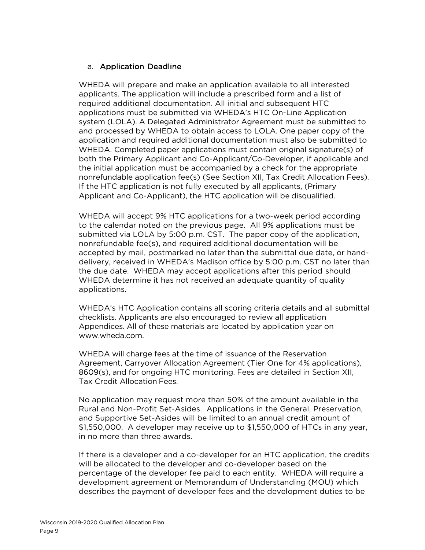#### a. Application Deadline

WHEDA will prepare and make an application available to all interested applicants. The application will include a prescribed form and a list of required additional documentation. All initial and subsequent HTC applications must be submitted via WHEDA's HTC On-Line Application system (LOLA). A Delegated Administrator Agreement must be submitted to and processed by WHEDA to obtain access to LOLA. One paper copy of the application and required additional documentation must also be submitted to WHEDA. Completed paper applications must contain original signature(s) of both the Primary Applicant and Co-Applicant/Co-Developer, if applicable and the initial application must be accompanied by a check for the appropriate nonrefundable application fee(s) (See Section XII, Tax Credit Allocation Fees). If the HTC application is not fully executed by all applicants, (Primary Applicant and Co-Applicant), the HTC application will be disqualified.

WHEDA will accept 9% HTC applications for a two-week period according to the calendar noted on the previous page. All 9% applications must be submitted via LOLA by 5:00 p.m. CST. The paper copy of the application, nonrefundable fee(s), and required additional documentation will be accepted by mail, postmarked no later than the submittal due date, or handdelivery, received in WHEDA's Madison office by 5:00 p.m. CST no later than the due date. WHEDA may accept applications after this period should WHEDA determine it has not received an adequate quantity of quality applications.

WHEDA's HTC Application contains all scoring criteria details and all submittal checklists. Applicants are also encouraged to review all application Appendices. All of these materials are located by application year on [www.wheda.com.](http://www.wheda.com/)

WHEDA will charge fees at the time of issuance of the Reservation Agreement, Carryover Allocation Agreement (Tier One for 4% applications), 8609(s), and for ongoing HTC monitoring. Fees are detailed in Section XII, Tax Credit Allocation Fees.

No application may request more than 50% of the amount available in the Rural and Non-Profit Set-Asides. Applications in the General, Preservation, and Supportive Set-Asides will be limited to an annual credit amount of \$1,550,000. A developer may receive up to \$1,550,000 of HTCs in any year, in no more than three awards.

If there is a developer and a co-developer for an HTC application, the credits will be allocated to the developer and co-developer based on the percentage of the developer fee paid to each entity. WHEDA will require a development agreement or Memorandum of Understanding (MOU) which describes the payment of developer fees and the development duties to be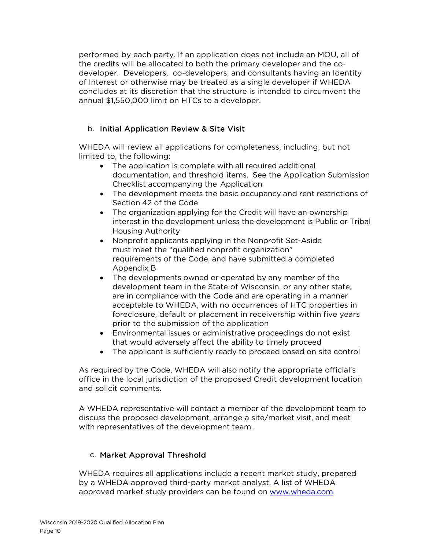performed by each party. If an application does not include an MOU, all of the credits will be allocated to both the primary developer and the codeveloper. Developers, co-developers, and consultants having an Identity of Interest or otherwise may be treated as a single developer if WHEDA concludes at its discretion that the structure is intended to circumvent the annual \$1,550,000 limit on HTCs to a developer.

## b. Initial Application Review & Site Visit

WHEDA will review all applications for completeness, including, but not limited to, the following:

- The application is complete with all required additional documentation, and threshold items. See the Application Submission Checklist accompanying the Application
- The development meets the basic occupancy and rent restrictions of Section 42 of the Code
- The organization applying for the Credit will have an ownership interest in the development unless the development is Public or Tribal Housing Authority
- Nonprofit applicants applying in the Nonprofit Set-Aside must meet the "qualified nonprofit organization" requirements of the Code, and have submitted a completed Appendix B
- The developments owned or operated by any member of the development team in the State of Wisconsin, or any other state, are in compliance with the Code and are operating in a manner acceptable to WHEDA, with no occurrences of HTC properties in foreclosure, default or placement in receivership within five years prior to the submission of the application
- Environmental issues or administrative proceedings do not exist that would adversely affect the ability to timely proceed
- The applicant is sufficiently ready to proceed based on site control

As required by the Code, WHEDA will also notify the appropriate official's office in the local jurisdiction of the proposed Credit development location and solicit comments.

A WHEDA representative will contact a member of the development team to discuss the proposed development, arrange a site/market visit, and meet with representatives of the development team.

## c. Market Approval Threshold

WHEDA requires all applications include a recent market study, prepared by a WHEDA approved third-party market analyst. A list of WHEDA approved market study providers can be found on [www.wheda.com.](http://www.wheda.com/)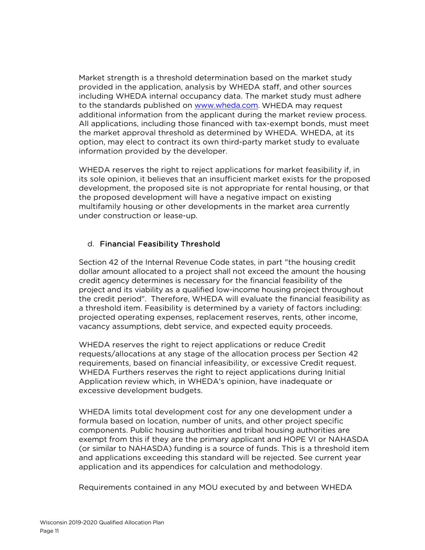Market strength is a threshold determination based on the market study provided in the application, analysis by WHEDA staff, and other sources including WHEDA internal occupancy data. The market study must adhere to the standards published on [www.wheda.com.](http://www.wheda.com/) WHEDA may request additional information from the applicant during the market review process. All applications, including those financed with tax-exempt bonds, must meet the market approval threshold as determined by WHEDA. WHEDA, at its option, may elect to contract its own third-party market study to evaluate information provided by the developer.

WHEDA reserves the right to reject applications for market feasibility if, in its sole opinion, it believes that an insufficient market exists for the proposed development, the proposed site is not appropriate for rental housing, or that the proposed development will have a negative impact on existing multifamily housing or other developments in the market area currently under construction or lease-up.

#### d. Financial Feasibility Threshold

Section 42 of the Internal Revenue Code states, in part "the housing credit dollar amount allocated to a project shall not exceed the amount the housing credit agency determines is necessary for the financial feasibility of the project and its viability as a qualified low-income housing project throughout the credit period". Therefore, WHEDA will evaluate the financial feasibility as a threshold item. Feasibility is determined by a variety of factors including: projected operating expenses, replacement reserves, rents, other income, vacancy assumptions, debt service, and expected equity proceeds.

WHEDA reserves the right to reject applications or reduce Credit requests/allocations at any stage of the allocation process per Section 42 requirements, based on financial infeasibility, or excessive Credit request. WHEDA Furthers reserves the right to reject applications during Initial Application review which, in WHEDA's opinion, have inadequate or excessive development budgets.

WHEDA limits total development cost for any one development under a formula based on location, number of units, and other project specific components. Public housing authorities and tribal housing authorities are exempt from this if they are the primary applicant and HOPE VI or NAHASDA (or similar to NAHASDA) funding is a source of funds. This is a threshold item and applications exceeding this standard will be rejected. See current year application and its appendices for calculation and methodology.

Requirements contained in any MOU executed by and between WHEDA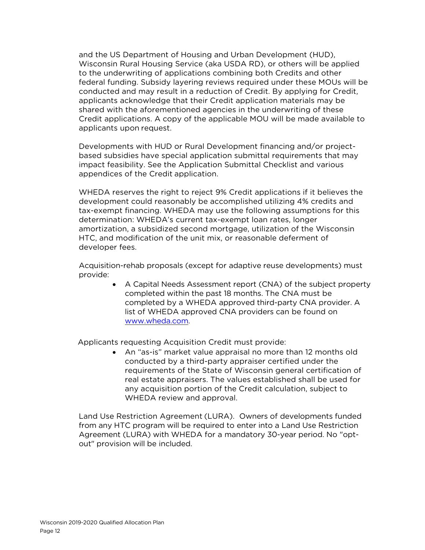and the US Department of Housing and Urban Development (HUD), Wisconsin Rural Housing Service (aka USDA RD), or others will be applied to the underwriting of applications combining both Credits and other federal funding. Subsidy layering reviews required under these MOUs will be conducted and may result in a reduction of Credit. By applying for Credit, applicants acknowledge that their Credit application materials may be shared with the aforementioned agencies in the underwriting of these Credit applications. A copy of the applicable MOU will be made available to applicants upon request.

Developments with HUD or Rural Development financing and/or projectbased subsidies have special application submittal requirements that may impact feasibility. See the Application Submittal Checklist and various appendices of the Credit application.

WHEDA reserves the right to reject 9% Credit applications if it believes the development could reasonably be accomplished utilizing 4% credits and tax-exempt financing. WHEDA may use the following assumptions for this determination: WHEDA's current tax-exempt loan rates, longer amortization, a subsidized second mortgage, utilization of the Wisconsin HTC, and modification of the unit mix, or reasonable deferment of developer fees.

Acquisition-rehab proposals (except for adaptive reuse developments) must provide:

> • A Capital Needs Assessment report (CNA) of the subject property completed within the past 18 months. The CNA must be completed by a WHEDA approved third-party CNA provider. A list of WHEDA approved CNA providers can be found on [www.wheda.com.](http://www.wheda.com/)

Applicants requesting Acquisition Credit must provide:

• An "as-is" market value appraisal no more than 12 months old conducted by a third-party appraiser certified under the requirements of the State of Wisconsin general certification of real estate appraisers. The values established shall be used for any acquisition portion of the Credit calculation, subject to WHEDA review and approval.

Land Use Restriction Agreement (LURA). Owners of developments funded from any HTC program will be required to enter into a Land Use Restriction Agreement (LURA) with WHEDA for a mandatory 30-year period. No "optout" provision will be included.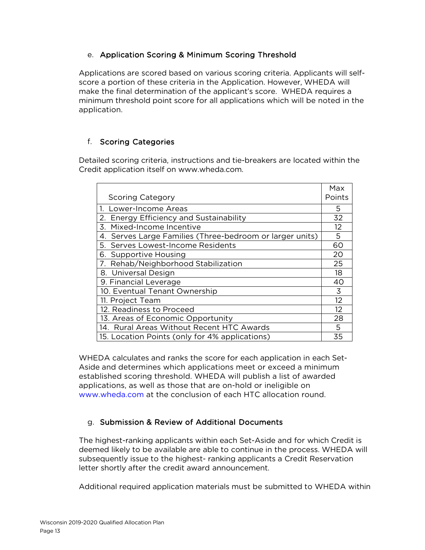## e. Application Scoring & Minimum Scoring Threshold

Applications are scored based on various scoring criteria. Applicants will selfscore a portion of these criteria in the Application. However, WHEDA will make the final determination of the applicant's score. WHEDA requires a minimum threshold point score for all applications which will be noted in the application.

## f. Scoring Categories

Detailed scoring criteria, instructions and tie-breakers are located within the Credit application itself on [www.wheda.com.](http://www.wheda.com/)

|                                                             | Max    |
|-------------------------------------------------------------|--------|
| <b>Scoring Category</b>                                     | Points |
| 1. Lower-Income Areas                                       | 5      |
| 2. Energy Efficiency and Sustainability                     | 32     |
| Mixed-Income Incentive<br>$\overline{5}$                    | 12     |
| Serves Large Families (Three-bedroom or larger units)<br>4. | 5      |
| 5. Serves Lowest-Income Residents                           | 60     |
| 6. Supportive Housing                                       | 20     |
| 7. Rehab/Neighborhood Stabilization                         | 25     |
| 8. Universal Design                                         | 18     |
| 9. Financial Leverage                                       | 40     |
| 10. Eventual Tenant Ownership                               | 3      |
| 11. Project Team                                            | 12     |
| 12. Readiness to Proceed                                    |        |
| 13. Areas of Economic Opportunity                           |        |
| 14. Rural Areas Without Recent HTC Awards                   |        |
| 15. Location Points (only for 4% applications)              | 35     |

WHEDA calculates and ranks the score for each application in each Set-Aside and determines which applications meet or exceed a minimum established scoring threshold. WHEDA will publish a list of awarded applications, as well as those that are on-hold or ineligible on [www.wheda.com](http://www.wheda.com/) at the conclusion of each HTC allocation round.

## g. Submission & Review of Additional Documents

The highest-ranking applicants within each Set-Aside and for which Credit is deemed likely to be available are able to continue in the process. WHEDA will subsequently issue to the highest- ranking applicants a Credit Reservation letter shortly after the credit award announcement.

Additional required application materials must be submitted to WHEDA within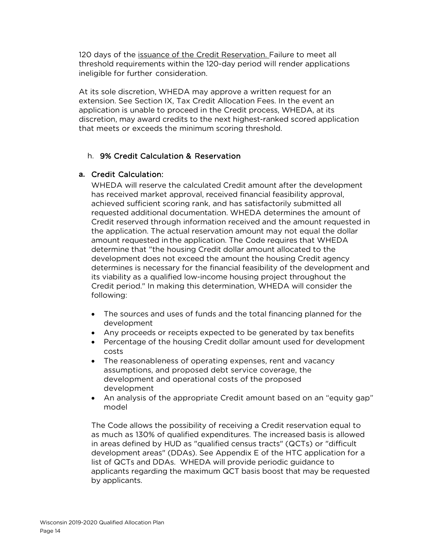120 days of the issuance of the Credit Reservation. Failure to meet all threshold requirements within the 120-day period will render applications ineligible for further consideration.

At its sole discretion, WHEDA may approve a written request for an extension. See Section IX, Tax Credit Allocation Fees. In the event an application is unable to proceed in the Credit process, WHEDA, at its discretion, may award credits to the next highest-ranked scored application that meets or exceeds the minimum scoring threshold.

## h. 9% Credit Calculation & Reservation

#### **a.** Credit Calculation:

WHEDA will reserve the calculated Credit amount after the development has received market approval, received financial feasibility approval, achieved sufficient scoring rank, and has satisfactorily submitted all requested additional documentation. WHEDA determines the amount of Credit reserved through information received and the amount requested in the application. The actual reservation amount may not equal the dollar amount requested in the application. The Code requires that WHEDA determine that "the housing Credit dollar amount allocated to the development does not exceed the amount the housing Credit agency determines is necessary for the financial feasibility of the development and its viability as a qualified low-income housing project throughout the Credit period." In making this determination, WHEDA will consider the following:

- The sources and uses of funds and the total financing planned for the development
- Any proceeds or receipts expected to be generated by tax benefits
- Percentage of the housing Credit dollar amount used for development costs
- The reasonableness of operating expenses, rent and vacancy assumptions, and proposed debt service coverage, the development and operational costs of the proposed development
- An analysis of the appropriate Credit amount based on an "equity gap" model

The Code allows the possibility of receiving a Credit reservation equal to as much as 130% of qualified expenditures. The increased basis is allowed in areas defined by HUD as "qualified census tracts" (QCTs) or "difficult development areas" (DDAs). See Appendix E of the HTC application for a list of QCTs and DDAs. WHEDA will provide periodic guidance to applicants regarding the maximum QCT basis boost that may be requested by applicants.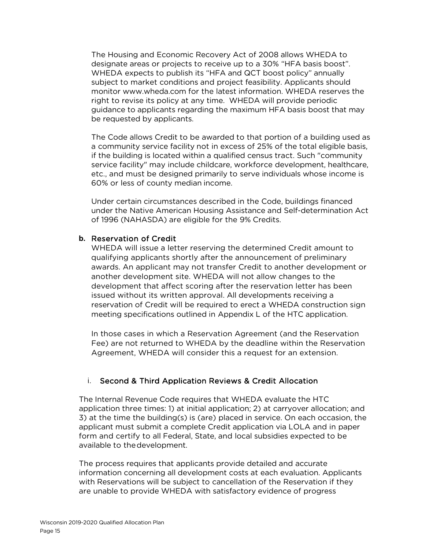The Housing and Economic Recovery Act of 2008 allows WHEDA to designate areas or projects to receive up to a 30% "HFA basis boost". WHEDA expects to publish its "HFA and QCT boost policy" annually subject to market conditions and project feasibility. Applicants should monitor [www.wheda.com](http://www.wheda.com/) for the latest information. WHEDA reserves the right to revise its policy at any time. WHEDA will provide periodic guidance to applicants regarding the maximum HFA basis boost that may be requested by applicants.

The Code allows Credit to be awarded to that portion of a building used as a community service facility not in excess of 25% of the total eligible basis, if the building is located within a qualified census tract. Such "community service facility" may include childcare, workforce development, healthcare, etc., and must be designed primarily to serve individuals whose income is 60% or less of county median income.

Under certain circumstances described in the Code, buildings financed under the Native American Housing Assistance and Self-determination Act of 1996 (NAHASDA) are eligible for the 9% Credits.

#### **b.** Reservation of Credit

WHEDA will issue a letter reserving the determined Credit amount to qualifying applicants shortly after the announcement of preliminary awards. An applicant may not transfer Credit to another development or another development site. WHEDA will not allow changes to the development that affect scoring after the reservation letter has been issued without its written approval. All developments receiving a reservation of Credit will be required to erect a WHEDA construction sign meeting specifications outlined in Appendix L of the HTC application.

In those cases in which a Reservation Agreement (and the Reservation Fee) are not returned to WHEDA by the deadline within the Reservation Agreement, WHEDA will consider this a request for an extension.

#### i. Second & Third Application Reviews & Credit Allocation

The Internal Revenue Code requires that WHEDA evaluate the HTC application three times: 1) at initial application; 2) at carryover allocation; and 3) at the time the building(s) is (are) placed in service. On each occasion, the applicant must submit a complete Credit application via LOLA and in paper form and certify to all Federal, State, and local subsidies expected to be available to thedevelopment.

The process requires that applicants provide detailed and accurate information concerning all development costs at each evaluation. Applicants with Reservations will be subject to cancellation of the Reservation if they are unable to provide WHEDA with satisfactory evidence of progress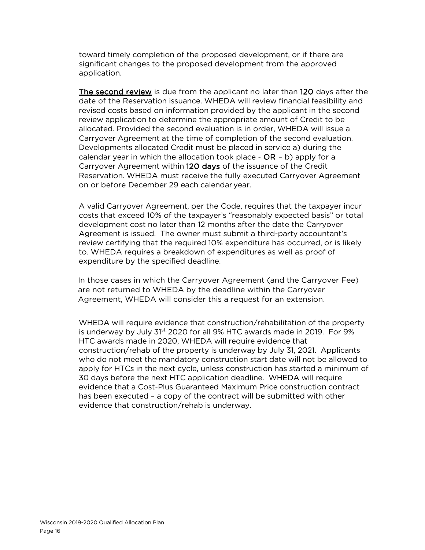toward timely completion of the proposed development, or if there are significant changes to the proposed development from the approved application.

The second review is due from the applicant no later than 120 days after the date of the Reservation issuance. WHEDA will review financial feasibility and revised costs based on information provided by the applicant in the second review application to determine the appropriate amount of Credit to be allocated. Provided the second evaluation is in order, WHEDA will issue a Carryover Agreement at the time of completion of the second evaluation. Developments allocated Credit must be placed in service a) during the calendar year in which the allocation took place -  $OR - b$ ) apply for a Carryover Agreement within 120 days of the issuance of the Credit Reservation. WHEDA must receive the fully executed Carryover Agreement on or before December 29 each calendar year.

A valid Carryover Agreement, per the Code, requires that the taxpayer incur costs that exceed 10% of the taxpayer's "reasonably expected basis" or total development cost no later than 12 months after the date the Carryover Agreement is issued. The owner must submit a third-party accountant's review certifying that the required 10% expenditure has occurred, or is likely to. WHEDA requires a breakdown of expenditures as well as proof of expenditure by the specified deadline.

In those cases in which the Carryover Agreement (and the Carryover Fee) are not returned to WHEDA by the deadline within the Carryover Agreement, WHEDA will consider this a request for an extension.

WHEDA will require evidence that construction/rehabilitation of the property is underway by July  $31^{st}$ , 2020 for all 9% HTC awards made in 2019. For 9% HTC awards made in 2020, WHEDA will require evidence that construction/rehab of the property is underway by July 31, 2021. Applicants who do not meet the mandatory construction start date will not be allowed to apply for HTCs in the next cycle, unless construction has started a minimum of 30 days before the next HTC application deadline. WHEDA will require evidence that a Cost-Plus Guaranteed Maximum Price construction contract has been executed – a copy of the contract will be submitted with other evidence that construction/rehab is underway.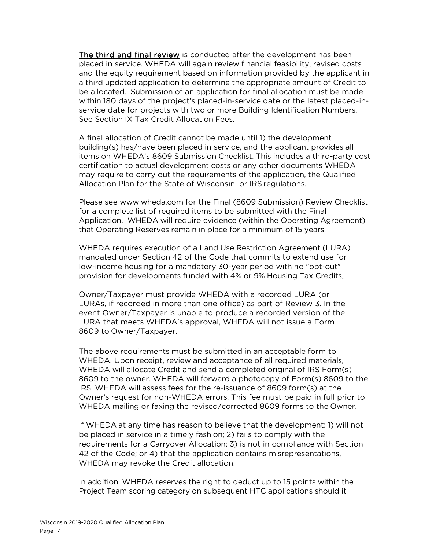The third and final review is conducted after the development has been placed in service. WHEDA will again review financial feasibility, revised costs and the equity requirement based on information provided by the applicant in a third updated application to determine the appropriate amount of Credit to be allocated. Submission of an application for final allocation must be made within 180 days of the project's placed-in-service date or the latest placed-inservice date for projects with two or more Building Identification Numbers. See Section IX Tax Credit Allocation Fees.

A final allocation of Credit cannot be made until 1) the development building(s) has/have been placed in service, and the applicant provides all items on WHEDA's 8609 Submission Checklist. This includes a third-party cost certification to actual development costs or any other documents WHEDA may require to carry out the requirements of the application, the Qualified Allocation Plan for the State of Wisconsin, or IRS regulations.

Please see [www.wheda.com](http://www.wheda.com/) for the Final (8609 Submission) Review Checklist for a complete list of required items to be submitted with the Final Application. WHEDA will require evidence (within the Operating Agreement) that Operating Reserves remain in place for a minimum of 15 years.

WHEDA requires execution of a Land Use Restriction Agreement (LURA) mandated under Section 42 of the Code that commits to extend use for low-income housing for a mandatory 30-year period with no "opt-out" provision for developments funded with 4% or 9% Housing Tax Credits.

Owner/Taxpayer must provide WHEDA with a recorded LURA (or LURAs, if recorded in more than one office) as part of Review 3. In the event Owner/Taxpayer is unable to produce a recorded version of the LURA that meets WHEDA's approval, WHEDA will not issue a Form 8609 to Owner/Taxpayer.

The above requirements must be submitted in an acceptable form to WHEDA. Upon receipt, review and acceptance of all required materials, WHEDA will allocate Credit and send a completed original of IRS Form(s) 8609 to the owner. WHEDA will forward a photocopy of Form(s) 8609 to the IRS. WHEDA will assess fees for the re-issuance of 8609 form(s) at the Owner's request for non-WHEDA errors. This fee must be paid in full prior to WHEDA mailing or faxing the revised/corrected 8609 forms to the Owner.

If WHEDA at any time has reason to believe that the development: 1) will not be placed in service in a timely fashion; 2) fails to comply with the requirements for a Carryover Allocation; 3) is not in compliance with Section 42 of the Code; or 4) that the application contains misrepresentations, WHEDA may revoke the Credit allocation.

In addition, WHEDA reserves the right to deduct up to 15 points within the Project Team scoring category on subsequent HTC applications should it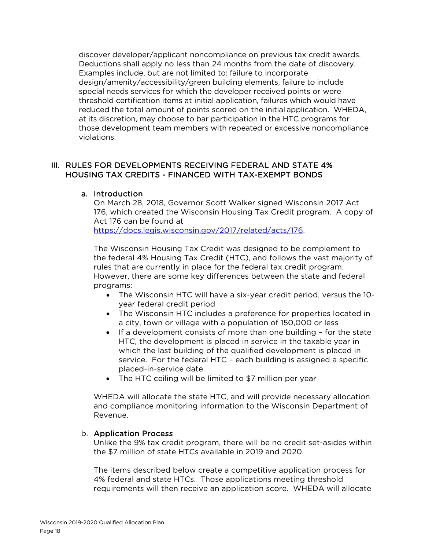discover developer/applicant noncompliance on previous tax credit awards. Deductions shall apply no less than 24 months from the date of discovery. Examples include, but are not limited to: failure to incorporate design/amenity/accessibility/green building elements, failure to include special needs services for which the developer received points or were threshold certification items at initial application, failures which would have reduced the total amount of points scored on the initial application. WHEDA, at its discretion, may choose to bar participation in the HTC programs for those development team members with repeated or excessive noncompliance violations.

## III. RULES FOR DEVELOPMENTS RECEIVING FEDERAL AND STATE 4% HOUSING TAX CREDITS - FINANCED WITH TAX-EXEMPT BONDS

#### a. Introduction

On March 28, 2018, Governor Scott Walker signed Wisconsin 2017 Act 176, which created the Wisconsin Housing Tax Credit program. A copy of Act 176 can be found at [https://docs.legis.wisconsin.gov/2017/related/acts/176.](https://docs.legis.wisconsin.gov/2017/related/acts/176)

The Wisconsin Housing Tax Credit was designed to be complement to the federal 4% Housing Tax Credit (HTC), and follows the vast majority of rules that are currently in place for the federal tax credit program. However, there are some key differences between the state and federal programs:

- The Wisconsin HTC will have a six-year credit period, versus the 10 year federal credit period
- The Wisconsin HTC includes a preference for properties located in a city, town or village with a population of 150,000 or less
- If a development consists of more than one building for the state HTC, the development is placed in service in the taxable year in which the last building of the qualified development is placed in service. For the federal HTC – each building is assigned a specific placed-in-service date.
- The HTC ceiling will be limited to \$7 million per year

WHEDA will allocate the state HTC, and will provide necessary allocation and compliance monitoring information to the Wisconsin Department of Revenue.

#### b. Application Process

Unlike the 9% tax credit program, there will be no credit set-asides within the \$7 million of state HTCs available in 2019 and 2020.

The items described below create a competitive application process for 4% federal and state HTCs. Those applications meeting threshold requirements will then receive an application score. WHEDA will allocate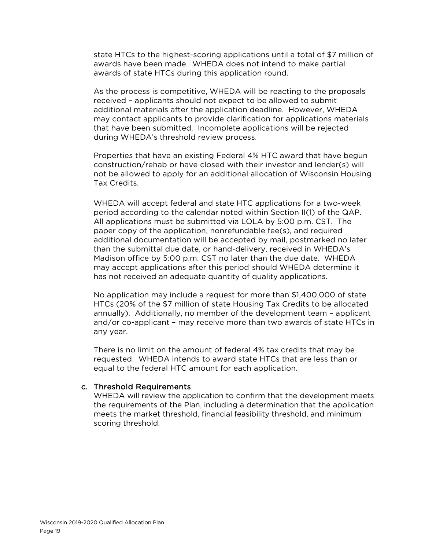state HTCs to the highest-scoring applications until a total of \$7 million of awards have been made. WHEDA does not intend to make partial awards of state HTCs during this application round.

As the process is competitive, WHEDA will be reacting to the proposals received – applicants should not expect to be allowed to submit additional materials after the application deadline. However, WHEDA may contact applicants to provide clarification for applications materials that have been submitted. Incomplete applications will be rejected during WHEDA's threshold review process.

Properties that have an existing Federal 4% HTC award that have begun construction/rehab or have closed with their investor and lender(s) will not be allowed to apply for an additional allocation of Wisconsin Housing Tax Credits.

WHEDA will accept federal and state HTC applications for a two-week period according to the calendar noted within Section II(1) of the QAP. All applications must be submitted via LOLA by 5:00 p.m. CST. The paper copy of the application, nonrefundable fee(s), and required additional documentation will be accepted by mail, postmarked no later than the submittal due date, or hand-delivery, received in WHEDA's Madison office by 5:00 p.m. CST no later than the due date. WHEDA may accept applications after this period should WHEDA determine it has not received an adequate quantity of quality applications.

No application may include a request for more than \$1,400,000 of state HTCs (20% of the \$7 million of state Housing Tax Credits to be allocated annually). Additionally, no member of the development team – applicant and/or co-applicant – may receive more than two awards of state HTCs in any year.

There is no limit on the amount of federal 4% tax credits that may be requested. WHEDA intends to award state HTCs that are less than or equal to the federal HTC amount for each application.

#### c. Threshold Requirements

WHEDA will review the application to confirm that the development meets the requirements of the Plan, including a determination that the application meets the market threshold, financial feasibility threshold, and minimum scoring threshold.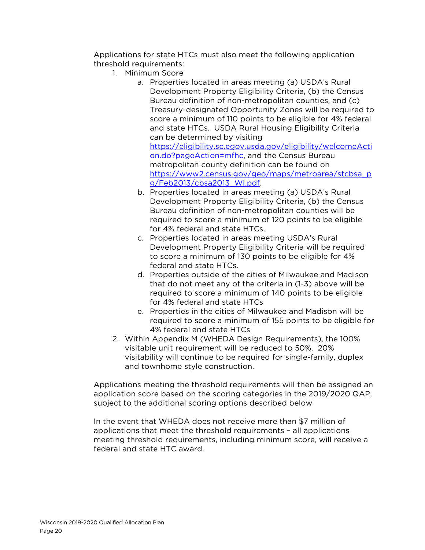Applications for state HTCs must also meet the following application threshold requirements:

- 1. Minimum Score
	- a. Properties located in areas meeting (a) USDA's Rural Development Property Eligibility Criteria, (b) the Census Bureau definition of non-metropolitan counties, and (c) Treasury-designated Opportunity Zones will be required to score a minimum of 110 points to be eligible for 4% federal and state HTCs. USDA Rural Housing Eligibility Criteria can be determined by visiting [https://eligibility.sc.egov.usda.gov/eligibility/welcomeActi](https://eligibility.sc.egov.usda.gov/eligibility/welcomeAction.do?pageAction=mfhc) [on.do?pageAction=mfhc,](https://eligibility.sc.egov.usda.gov/eligibility/welcomeAction.do?pageAction=mfhc) and the Census Bureau metropolitan county definition can be found on [https://www2.census.gov/geo/maps/metroarea/stcbsa\\_p](https://www2.census.gov/geo/maps/metroarea/stcbsa_pg/Feb2013/cbsa2013_WI.pdf) [g/Feb2013/cbsa2013\\_WI.pdf.](https://www2.census.gov/geo/maps/metroarea/stcbsa_pg/Feb2013/cbsa2013_WI.pdf)
	- b. Properties located in areas meeting (a) USDA's Rural Development Property Eligibility Criteria, (b) the Census Bureau definition of non-metropolitan counties will be required to score a minimum of 120 points to be eligible for 4% federal and state HTCs.
	- c. Properties located in areas meeting USDA's Rural Development Property Eligibility Criteria will be required to score a minimum of 130 points to be eligible for 4% federal and state HTCs.
	- d. Properties outside of the cities of Milwaukee and Madison that do not meet any of the criteria in (1-3) above will be required to score a minimum of 140 points to be eligible for 4% federal and state HTCs
	- e. Properties in the cities of Milwaukee and Madison will be required to score a minimum of 155 points to be eligible for 4% federal and state HTCs
- 2. Within Appendix M (WHEDA Design Requirements), the 100% visitable unit requirement will be reduced to 50%. 20% visitability will continue to be required for single-family, duplex and townhome style construction.

Applications meeting the threshold requirements will then be assigned an application score based on the scoring categories in the 2019/2020 QAP, subject to the additional scoring options described below

In the event that WHEDA does not receive more than \$7 million of applications that meet the threshold requirements – all applications meeting threshold requirements, including minimum score, will receive a federal and state HTC award.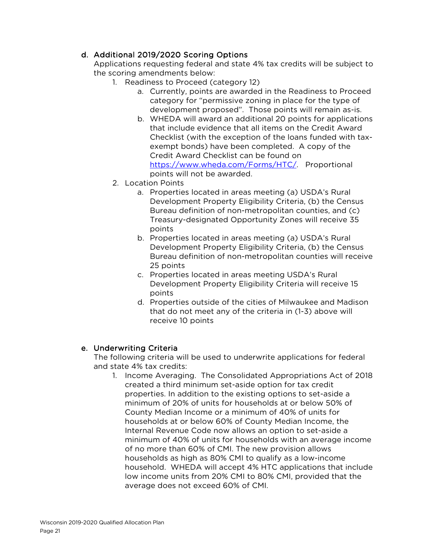## d. Additional 2019/2020 Scoring Options

Applications requesting federal and state 4% tax credits will be subject to the scoring amendments below:

- 1. Readiness to Proceed (category 12)
	- a. Currently, points are awarded in the Readiness to Proceed category for "permissive zoning in place for the type of development proposed". Those points will remain as-is.
	- b. WHEDA will award an additional 20 points for applications that include evidence that all items on the Credit Award Checklist (with the exception of the loans funded with taxexempt bonds) have been completed. A copy of the Credit Award Checklist can be found on [https://www.wheda.com/Forms/HTC/.](https://www.wheda.com/Forms/LIHTC/) Proportional points will not be awarded.
- 2. Location Points
	- a. Properties located in areas meeting (a) USDA's Rural Development Property Eligibility Criteria, (b) the Census Bureau definition of non-metropolitan counties, and (c) Treasury-designated Opportunity Zones will receive 35 points
	- b. Properties located in areas meeting (a) USDA's Rural Development Property Eligibility Criteria, (b) the Census Bureau definition of non-metropolitan counties will receive 25 points
	- c. Properties located in areas meeting USDA's Rural Development Property Eligibility Criteria will receive 15 points
	- d. Properties outside of the cities of Milwaukee and Madison that do not meet any of the criteria in (1-3) above will receive 10 points

## e. Underwriting Criteria

The following criteria will be used to underwrite applications for federal and state 4% tax credits:

1. Income Averaging. The Consolidated Appropriations Act of 2018 created a third minimum set-aside option for tax credit properties. In addition to the existing options to set-aside a minimum of 20% of units for households at or below 50% of County Median Income or a minimum of 40% of units for households at or below 60% of County Median Income, the Internal Revenue Code now allows an option to set-aside a minimum of 40% of units for households with an average income of no more than 60% of CMI. The new provision allows households as high as 80% CMI to qualify as a low-income household. WHEDA will accept 4% HTC applications that include low income units from 20% CMI to 80% CMI, provided that the average does not exceed 60% of CMI.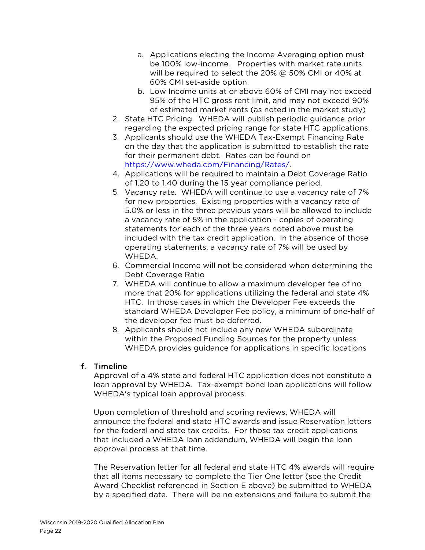- a. Applications electing the Income Averaging option must be 100% low-income. Properties with market rate units will be required to select the 20% @ 50% CMI or 40% at 60% CMI set-aside option.
- b. Low Income units at or above 60% of CMI may not exceed 95% of the HTC gross rent limit, and may not exceed 90% of estimated market rents (as noted in the market study)
- 2. State HTC Pricing. WHEDA will publish periodic guidance prior regarding the expected pricing range for state HTC applications.
- 3. Applicants should use the WHEDA Tax-Exempt Financing Rate on the day that the application is submitted to establish the rate for their permanent debt. Rates can be found on [https://www.wheda.com/Financing/Rates/.](https://www.wheda.com/Financing/Rates/)
- 4. Applications will be required to maintain a Debt Coverage Ratio of 1.20 to 1.40 during the 15 year compliance period.
- 5. Vacancy rate. WHEDA will continue to use a vacancy rate of 7% for new properties. Existing properties with a vacancy rate of 5.0% or less in the three previous years will be allowed to include a vacancy rate of 5% in the application - copies of operating statements for each of the three years noted above must be included with the tax credit application. In the absence of those operating statements, a vacancy rate of 7% will be used by WHEDA.
- 6. Commercial Income will not be considered when determining the Debt Coverage Ratio
- 7. WHEDA will continue to allow a maximum developer fee of no more that 20% for applications utilizing the federal and state 4% HTC. In those cases in which the Developer Fee exceeds the standard WHEDA Developer Fee policy, a minimum of one-half of the developer fee must be deferred.
- 8. Applicants should not include any new WHEDA subordinate within the Proposed Funding Sources for the property unless WHEDA provides guidance for applications in specific locations

#### f. Timeline

Approval of a 4% state and federal HTC application does not constitute a loan approval by WHEDA. Tax-exempt bond loan applications will follow WHEDA's typical loan approval process.

Upon completion of threshold and scoring reviews, WHEDA will announce the federal and state HTC awards and issue Reservation letters for the federal and state tax credits. For those tax credit applications that included a WHEDA loan addendum, WHEDA will begin the loan approval process at that time.

The Reservation letter for all federal and state HTC 4% awards will require that all items necessary to complete the Tier One letter (see the Credit Award Checklist referenced in Section E above) be submitted to WHEDA by a specified date. There will be no extensions and failure to submit the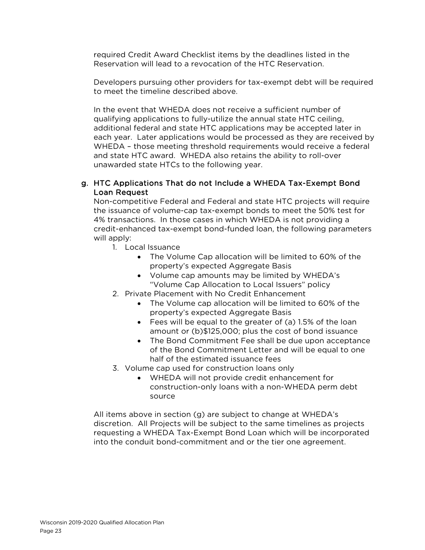required Credit Award Checklist items by the deadlines listed in the Reservation will lead to a revocation of the HTC Reservation.

Developers pursuing other providers for tax-exempt debt will be required to meet the timeline described above.

In the event that WHEDA does not receive a sufficient number of qualifying applications to fully-utilize the annual state HTC ceiling, additional federal and state HTC applications may be accepted later in each year. Later applications would be processed as they are received by WHEDA – those meeting threshold requirements would receive a federal and state HTC award. WHEDA also retains the ability to roll-over unawarded state HTCs to the following year.

#### g. HTC Applications That do not Include a WHEDA Tax-Exempt Bond Loan Request

Non-competitive Federal and Federal and state HTC projects will require the issuance of volume-cap tax-exempt bonds to meet the 50% test for 4% transactions. In those cases in which WHEDA is not providing a credit-enhanced tax-exempt bond-funded loan, the following parameters will apply:

- 1. Local Issuance
	- The Volume Cap allocation will be limited to 60% of the property's expected Aggregate Basis
	- Volume cap amounts may be limited by WHEDA's "Volume Cap Allocation to Local Issuers" policy
- 2. Private Placement with No Credit Enhancement
	- The Volume cap allocation will be limited to 60% of the property's expected Aggregate Basis
	- Fees will be equal to the greater of (a) 1.5% of the loan amount or (b)\$125,000; plus the cost of bond issuance
	- The Bond Commitment Fee shall be due upon acceptance of the Bond Commitment Letter and will be equal to one half of the estimated issuance fees
- 3. Volume cap used for construction loans only
	- WHEDA will not provide credit enhancement for construction-only loans with a non-WHEDA perm debt source

All items above in section (g) are subject to change at WHEDA's discretion. All Projects will be subject to the same timelines as projects requesting a WHEDA Tax-Exempt Bond Loan which will be incorporated into the conduit bond-commitment and or the tier one agreement.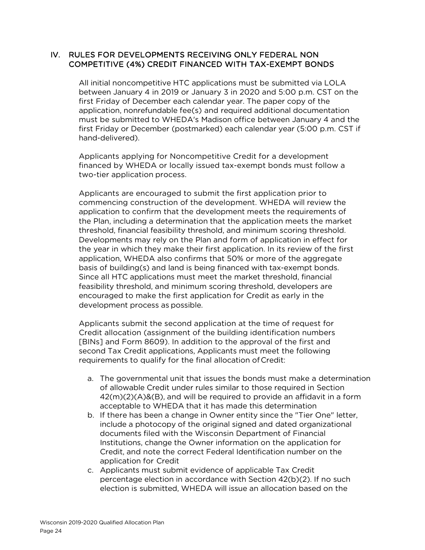#### IV. RULES FOR DEVELOPMENTS RECEIVING ONLY FEDERAL NON COMPETITIVE (4%) CREDIT FINANCED WITH TAX-EXEMPT BONDS

All initial noncompetitive HTC applications must be submitted via LOLA between January 4 in 2019 or January 3 in 2020 and 5:00 p.m. CST on the first Friday of December each calendar year. The paper copy of the application, nonrefundable fee(s) and required additional documentation must be submitted to WHEDA's Madison office between January 4 and the first Friday or December (postmarked) each calendar year (5:00 p.m. CST if hand-delivered).

Applicants applying for Noncompetitive Credit for a development financed by WHEDA or locally issued tax-exempt bonds must follow a two-tier application process.

Applicants are encouraged to submit the first application prior to commencing construction of the development. WHEDA will review the application to confirm that the development meets the requirements of the Plan, including a determination that the application meets the market threshold, financial feasibility threshold, and minimum scoring threshold. Developments may rely on the Plan and form of application in effect for the year in which they make their first application. In its review of the first application, WHEDA also confirms that 50% or more of the aggregate basis of building(s) and land is being financed with tax-exempt bonds. Since all HTC applications must meet the market threshold, financial feasibility threshold, and minimum scoring threshold, developers are encouraged to make the first application for Credit as early in the development process as possible.

Applicants submit the second application at the time of request for Credit allocation (assignment of the building identification numbers [BINs] and Form 8609). In addition to the approval of the first and second Tax Credit applications, Applicants must meet the following requirements to qualify for the final allocation of Credit:

- a. The governmental unit that issues the bonds must make a determination of allowable Credit under rules similar to those required in Section 42(m)(2)(A)&(B), and will be required to provide an affidavit in a form acceptable to WHEDA that it has made this determination
- b. If there has been a change in Owner entity since the "Tier One" letter, include a photocopy of the original signed and dated organizational documents filed with the Wisconsin Department of Financial Institutions, change the Owner information on the application for Credit, and note the correct Federal Identification number on the application for Credit
- c. Applicants must submit evidence of applicable Tax Credit percentage election in accordance with Section 42(b)(2). If no such election is submitted, WHEDA will issue an allocation based on the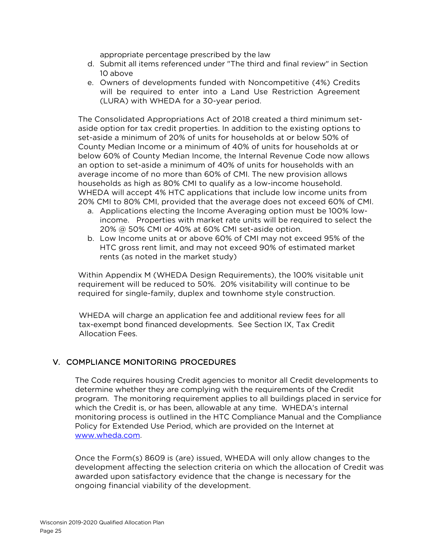appropriate percentage prescribed by the law

- d. Submit all items referenced under "The third and final review" in Section 10 above
- e. Owners of developments funded with Noncompetitive (4%) Credits will be required to enter into a Land Use Restriction Agreement (LURA) with WHEDA for a 30-year period.

The Consolidated Appropriations Act of 2018 created a third minimum setaside option for tax credit properties. In addition to the existing options to set-aside a minimum of 20% of units for households at or below 50% of County Median Income or a minimum of 40% of units for households at or below 60% of County Median Income, the Internal Revenue Code now allows an option to set-aside a minimum of 40% of units for households with an average income of no more than 60% of CMI. The new provision allows households as high as 80% CMI to qualify as a low-income household. WHEDA will accept 4% HTC applications that include low income units from 20% CMI to 80% CMI, provided that the average does not exceed 60% of CMI.

- a. Applications electing the Income Averaging option must be 100% lowincome. Properties with market rate units will be required to select the 20% @ 50% CMI or 40% at 60% CMI set-aside option.
- b. Low Income units at or above 60% of CMI may not exceed 95% of the HTC gross rent limit, and may not exceed 90% of estimated market rents (as noted in the market study)

Within Appendix M (WHEDA Design Requirements), the 100% visitable unit requirement will be reduced to 50%. 20% visitability will continue to be required for single-family, duplex and townhome style construction.

WHEDA will charge an application fee and additional review fees for all tax-exempt bond financed developments. See Section IX, Tax Credit Allocation Fees.

#### V. COMPLIANCE MONITORING PROCEDURES

The Code requires housing Credit agencies to monitor all Credit developments to determine whether they are complying with the requirements of the Credit program. The monitoring requirement applies to all buildings placed in service for which the Credit is, or has been, allowable at any time. WHEDA's internal monitoring process is outlined in the HTC Compliance Manual and the Compliance Policy for Extended Use Period, which are provided on the Internet at [www.wheda.com.](http://www.wheda.com/)

Once the Form(s) 8609 is (are) issued, WHEDA will only allow changes to the development affecting the selection criteria on which the allocation of Credit was awarded upon satisfactory evidence that the change is necessary for the ongoing financial viability of the development.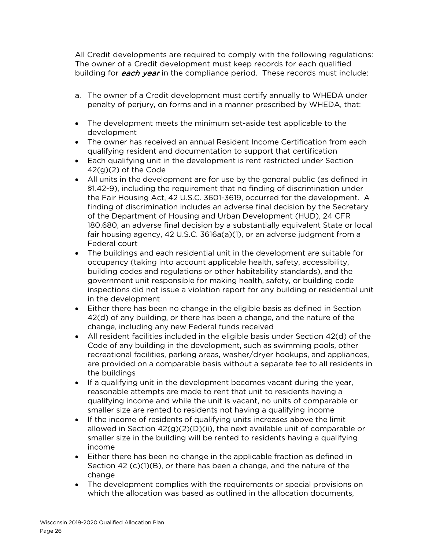All Credit developments are required to comply with the following regulations: The owner of a Credit development must keep records for each qualified building for *each year* in the compliance period. These records must include:

- a. The owner of a Credit development must certify annually to WHEDA under penalty of perjury, on forms and in a manner prescribed by WHEDA, that:
- The development meets the minimum set-aside test applicable to the development
- The owner has received an annual Resident Income Certification from each qualifying resident and documentation to support that certification
- Each qualifying unit in the development is rent restricted under Section 42(g)(2) of the Code
- All units in the development are for use by the general public (as defined in §1.42-9), including the requirement that no finding of discrimination under the Fair Housing Act, 42 U.S.C. 3601-3619, occurred for the development. A finding of discrimination includes an adverse final decision by the Secretary of the Department of Housing and Urban Development (HUD), 24 CFR 180.680, an adverse final decision by a substantially equivalent State or local fair housing agency, 42 U.S.C. 3616a(a)(1), or an adverse judgment from a Federal court
- The buildings and each residential unit in the development are suitable for occupancy (taking into account applicable health, safety, accessibility, building codes and regulations or other habitability standards), and the government unit responsible for making health, safety, or building code inspections did not issue a violation report for any building or residential unit in the development
- Either there has been no change in the eligible basis as defined in Section 42(d) of any building, or there has been a change, and the nature of the change, including any new Federal funds received
- All resident facilities included in the eligible basis under Section 42(d) of the Code of any building in the development, such as swimming pools, other recreational facilities, parking areas, washer/dryer hookups, and appliances, are provided on a comparable basis without a separate fee to all residents in the buildings
- If a qualifying unit in the development becomes vacant during the year, reasonable attempts are made to rent that unit to residents having a qualifying income and while the unit is vacant, no units of comparable or smaller size are rented to residents not having a qualifying income
- If the income of residents of qualifying units increases above the limit allowed in Section 42(g)(2)(D)(ii), the next available unit of comparable or smaller size in the building will be rented to residents having a qualifying income
- Either there has been no change in the applicable fraction as defined in Section 42 (c)(1)(B), or there has been a change, and the nature of the change
- The development complies with the requirements or special provisions on which the allocation was based as outlined in the allocation documents,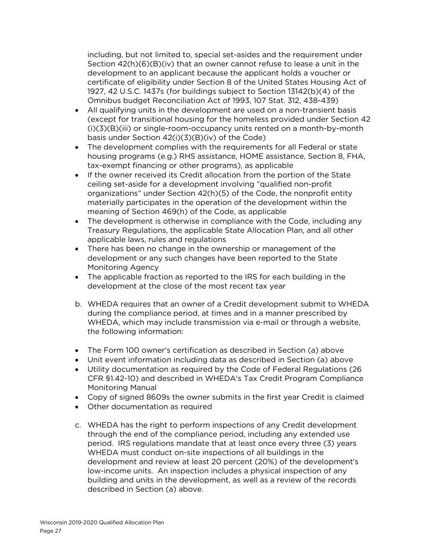including, but not limited to, special set-asides and the requirement under Section 42(h)(6)(B)(iv) that an owner cannot refuse to lease a unit in the development to an applicant because the applicant holds a voucher or certificate of eligibility under Section 8 of the United States Housing Act of 1927, 42 U.S.C. 1437s (for buildings subject to Section 13142(b)(4) of the Omnibus budget Reconciliation Act of 1993, 107 Stat. 312, 438-439)

- All qualifying units in the development are used on a non-transient basis (except for transitional housing for the homeless provided under Section 42 (i)(3)(B)(iii) or single-room-occupancy units rented on a month-by-month basis under Section 42(i)(3)(B)(iv) of the Code)
- The development complies with the requirements for all Federal or state housing programs (e.g.) RHS assistance, HOME assistance, Section 8, FHA, tax-exempt financing or other programs), as applicable
- If the owner received its Credit allocation from the portion of the State ceiling set-aside for a development involving "qualified non-profit organizations" under Section 42(h)(5) of the Code, the nonprofit entity materially participates in the operation of the development within the meaning of Section 469(h) of the Code, as applicable
- The development is otherwise in compliance with the Code, including any Treasury Regulations, the applicable State Allocation Plan, and all other applicable laws, rules and regulations
- There has been no change in the ownership or management of the development or any such changes have been reported to the State Monitoring Agency
- The applicable fraction as reported to the IRS for each building in the development at the close of the most recent tax year
- b. WHEDA requires that an owner of a Credit development submit to WHEDA during the compliance period, at times and in a manner prescribed by WHEDA, which may include transmission via e-mail or through a website, the following information:
- The Form 100 owner's certification as described in Section (a) above
- Unit event information including data as described in Section (a) above
- Utility documentation as required by the Code of Federal Regulations (26 CFR §1.42-10) and described in WHEDA's Tax Credit Program Compliance Monitoring Manual
- Copy of signed 8609s the owner submits in the first year Credit is claimed
- Other documentation as required
- c. WHEDA has the right to perform inspections of any Credit development through the end of the compliance period, including any extended use period. IRS regulations mandate that at least once every three (3) years WHEDA must conduct on-site inspections of all buildings in the development and review at least 20 percent (20%) of the development's low-income units. An inspection includes a physical inspection of any building and units in the development, as well as a review of the records described in Section (a) above.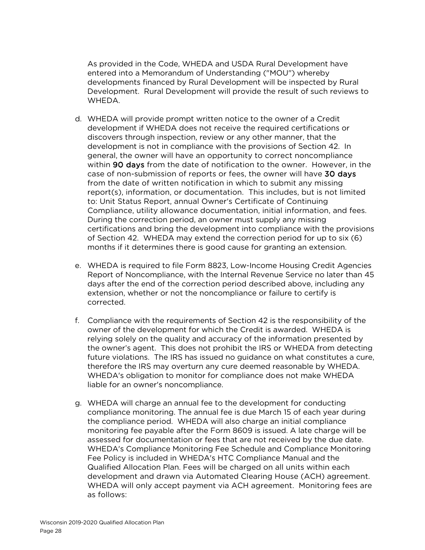As provided in the Code, WHEDA and USDA Rural Development have entered into a Memorandum of Understanding ("MOU") whereby developments financed by Rural Development will be inspected by Rural Development. Rural Development will provide the result of such reviews to WHEDA.

- d. WHEDA will provide prompt written notice to the owner of a Credit development if WHEDA does not receive the required certifications or discovers through inspection, review or any other manner, that the development is not in compliance with the provisions of Section 42. In general, the owner will have an opportunity to correct noncompliance within 90 days from the date of notification to the owner. However, in the case of non-submission of reports or fees, the owner will have 30 days from the date of written notification in which to submit any missing report(s), information, or documentation. This includes, but is not limited to: Unit Status Report, annual Owner's Certificate of Continuing Compliance, utility allowance documentation, initial information, and fees. During the correction period, an owner must supply any missing certifications and bring the development into compliance with the provisions of Section 42. WHEDA may extend the correction period for up to six (6) months if it determines there is good cause for granting an extension.
- e. WHEDA is required to file Form 8823, Low-Income Housing Credit Agencies Report of Noncompliance, with the Internal Revenue Service no later than 45 days after the end of the correction period described above, including any extension, whether or not the noncompliance or failure to certify is corrected.
- f. Compliance with the requirements of Section 42 is the responsibility of the owner of the development for which the Credit is awarded. WHEDA is relying solely on the quality and accuracy of the information presented by the owner's agent. This does not prohibit the IRS or WHEDA from detecting future violations. The IRS has issued no guidance on what constitutes a cure, therefore the IRS may overturn any cure deemed reasonable by WHEDA. WHEDA's obligation to monitor for compliance does not make WHEDA liable for an owner's noncompliance.
- g. WHEDA will charge an annual fee to the development for conducting compliance monitoring. The annual fee is due March 15 of each year during the compliance period. WHEDA will also charge an initial compliance monitoring fee payable after the Form 8609 is issued. A late charge will be assessed for documentation or fees that are not received by the due date. WHEDA's Compliance Monitoring Fee Schedule and Compliance Monitoring Fee Policy is included in WHEDA's HTC Compliance Manual and the Qualified Allocation Plan. Fees will be charged on all units within each development and drawn via Automated Clearing House (ACH) agreement. WHEDA will only accept payment via ACH agreement. Monitoring fees are as follows: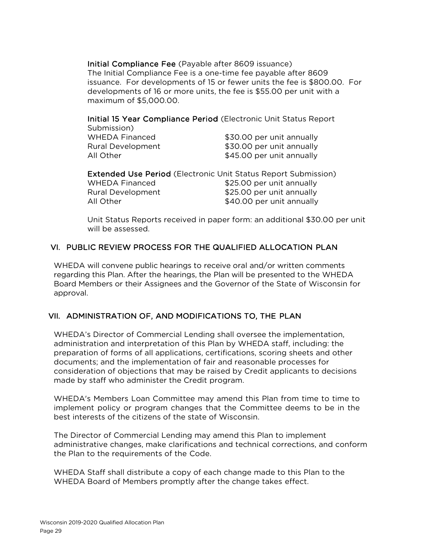Initial Compliance Fee (Payable after 8609 issuance) The Initial Compliance Fee is a one-time fee payable after 8609 issuance. For developments of 15 or fewer units the fee is \$800.00. For developments of 16 or more units, the fee is \$55.00 per unit with a maximum of \$5,000.00.

Initial 15 Year Compliance Period (Electronic Unit Status Report

| Submission)           |                           |
|-----------------------|---------------------------|
| <b>WHEDA Financed</b> | \$30.00 per unit annually |
| Rural Development     | \$30.00 per unit annually |
| All Other             | \$45.00 per unit annually |

| <b>Extended Use Period (Electronic Unit Status Report Submission)</b> |                           |  |
|-----------------------------------------------------------------------|---------------------------|--|
| <b>WHEDA Financed</b>                                                 | \$25.00 per unit annually |  |
| <b>Rural Development</b>                                              | \$25.00 per unit annually |  |
| All Other                                                             | \$40.00 per unit annually |  |

Unit Status Reports received in paper form: an additional \$30.00 per unit will be assessed.

## VI. PUBLIC REVIEW PROCESS FOR THE QUALIFIED ALLOCATION PLAN

WHEDA will convene public hearings to receive oral and/or written comments regarding this Plan. After the hearings, the Plan will be presented to the WHEDA Board Members or their Assignees and the Governor of the State of Wisconsin for approval.

#### VII. ADMINISTRATION OF, AND MODIFICATIONS TO, THE PLAN

WHEDA's Director of Commercial Lending shall oversee the implementation, administration and interpretation of this Plan by WHEDA staff, including: the preparation of forms of all applications, certifications, scoring sheets and other documents; and the implementation of fair and reasonable processes for consideration of objections that may be raised by Credit applicants to decisions made by staff who administer the Credit program.

WHEDA's Members Loan Committee may amend this Plan from time to time to implement policy or program changes that the Committee deems to be in the best interests of the citizens of the state of Wisconsin.

The Director of Commercial Lending may amend this Plan to implement administrative changes, make clarifications and technical corrections, and conform the Plan to the requirements of the Code.

WHEDA Staff shall distribute a copy of each change made to this Plan to the WHEDA Board of Members promptly after the change takes effect.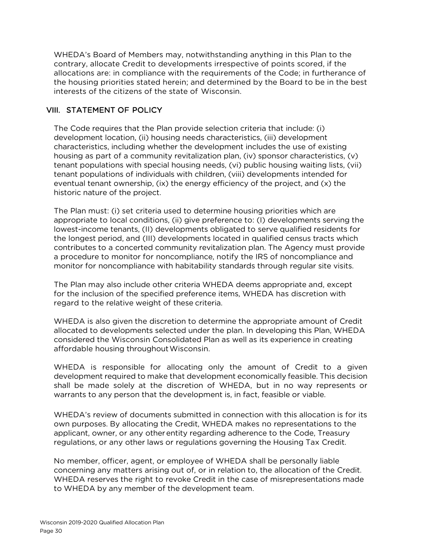WHEDA's Board of Members may, notwithstanding anything in this Plan to the contrary, allocate Credit to developments irrespective of points scored, if the allocations are: in compliance with the requirements of the Code; in furtherance of the housing priorities stated herein; and determined by the Board to be in the best interests of the citizens of the state of Wisconsin.

## VIII. STATEMENT OF POLICY

The Code requires that the Plan provide selection criteria that include: (i) development location, (ii) housing needs characteristics, (iii) development characteristics, including whether the development includes the use of existing housing as part of a community revitalization plan, (iv) sponsor characteristics, (v) tenant populations with special housing needs, (vi) public housing waiting lists, (vii) tenant populations of individuals with children, (viii) developments intended for eventual tenant ownership, (ix) the energy efficiency of the project, and (x) the historic nature of the project.

The Plan must: (i) set criteria used to determine housing priorities which are appropriate to local conditions, (ii) give preference to: (I) developments serving the lowest-income tenants, (II) developments obligated to serve qualified residents for the longest period, and (III) developments located in qualified census tracts which contributes to a concerted community revitalization plan. The Agency must provide a procedure to monitor for noncompliance, notify the IRS of noncompliance and monitor for noncompliance with habitability standards through regular site visits.

The Plan may also include other criteria WHEDA deems appropriate and, except for the inclusion of the specified preference items, WHEDA has discretion with regard to the relative weight of these criteria.

WHEDA is also given the discretion to determine the appropriate amount of Credit allocated to developments selected under the plan. In developing this Plan, WHEDA considered the Wisconsin Consolidated Plan as well as its experience in creating affordable housing throughout Wisconsin.

WHEDA is responsible for allocating only the amount of Credit to a given development required to make that development economically feasible. This decision shall be made solely at the discretion of WHEDA, but in no way represents or warrants to any person that the development is, in fact, feasible or viable.

WHEDA's review of documents submitted in connection with this allocation is for its own purposes. By allocating the Credit, WHEDA makes no representations to the applicant, owner, or any otherentity regarding adherence to the Code, Treasury regulations, or any other laws or regulations governing the Housing Tax Credit.

No member, officer, agent, or employee of WHEDA shall be personally liable concerning any matters arising out of, or in relation to, the allocation of the Credit. WHEDA reserves the right to revoke Credit in the case of misrepresentations made to WHEDA by any member of the development team.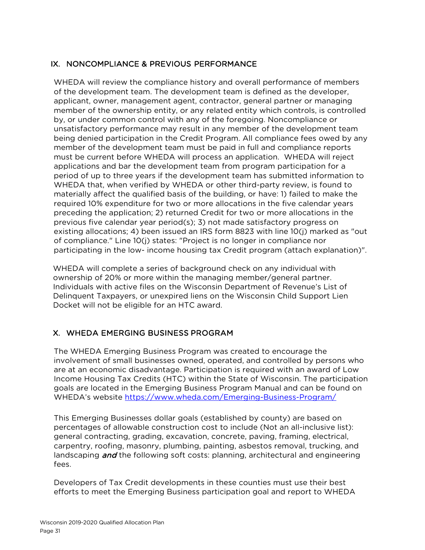## IX. NONCOMPLIANCE & PREVIOUS PERFORMANCE

WHEDA will review the compliance history and overall performance of members of the development team. The development team is defined as the developer, applicant, owner, management agent, contractor, general partner or managing member of the ownership entity, or any related entity which controls, is controlled by, or under common control with any of the foregoing. Noncompliance or unsatisfactory performance may result in any member of the development team being denied participation in the Credit Program. All compliance fees owed by any member of the development team must be paid in full and compliance reports must be current before WHEDA will process an application. WHEDA will reject applications and bar the development team from program participation for a period of up to three years if the development team has submitted information to WHEDA that, when verified by WHEDA or other third-party review, is found to materially affect the qualified basis of the building, or have: 1) failed to make the required 10% expenditure for two or more allocations in the five calendar years preceding the application; 2) returned Credit for two or more allocations in the previous five calendar year period(s); 3) not made satisfactory progress on existing allocations; 4) been issued an IRS form 8823 with line 10(j) marked as "out of compliance." Line 10(j) states: "Project is no longer in compliance nor participating in the low- income housing tax Credit program (attach explanation)".

WHEDA will complete a series of background check on any individual with ownership of 20% or more within the managing member/general partner. Individuals with active files on the Wisconsin Department of Revenue's List of Delinquent Taxpayers, or unexpired liens on the Wisconsin Child Support Lien Docket will not be eligible for an HTC award.

## X. WHEDA EMERGING BUSINESS PROGRAM

The WHEDA Emerging Business Program was created to encourage the involvement of small businesses owned, operated, and controlled by persons who are at an economic disadvantage. Participation is required with an award of Low Income Housing Tax Credits (HTC) within the State of Wisconsin. The participation goals are located in the Emerging Business Program Manual and can be found on WHEDA's website <https://www.wheda.com/Emerging-Business-Program/>

This Emerging Businesses dollar goals (established by county) are based on percentages of allowable construction cost to include (Not an all-inclusive list): general contracting, grading, excavation, concrete, paving, framing, electrical, carpentry, roofing, masonry, plumbing, painting, asbestos removal, trucking, and landscaping **and** the following soft costs: planning, architectural and engineering fees.

Developers of Tax Credit developments in these counties must use their best efforts to meet the Emerging Business participation goal and report to WHEDA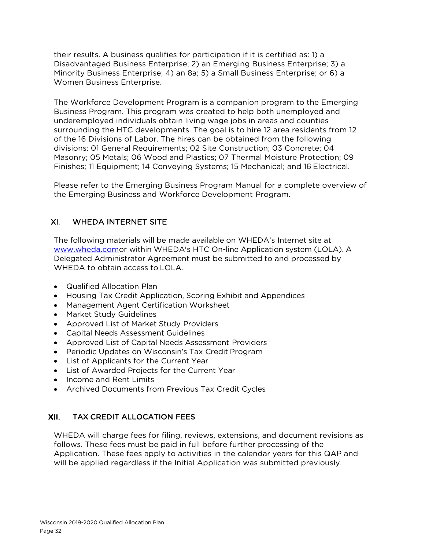their results. A business qualifies for participation if it is certified as: 1) a Disadvantaged Business Enterprise; 2) an Emerging Business Enterprise; 3) a Minority Business Enterprise; 4) an 8a; 5) a Small Business Enterprise; or 6) a Women Business Enterprise.

The Workforce Development Program is a companion program to the Emerging Business Program. This program was created to help both unemployed and underemployed individuals obtain living wage jobs in areas and counties surrounding the HTC developments. The goal is to hire 12 area residents from 12 of the 16 Divisions of Labor. The hires can be obtained from the following divisions: 01 General Requirements; 02 Site Construction; 03 Concrete; 04 Masonry; 05 Metals; 06 Wood and Plastics; 07 Thermal Moisture Protection; 09 Finishes; 11 Equipment; 14 Conveying Systems; 15 Mechanical; and 16 Electrical.

Please refer to the Emerging Business Program Manual for a complete overview of the Emerging Business and Workforce Development Program.

## XI. WHEDA INTERNET SITE

The following materials will be made available on WHEDA's Internet site at [www.wheda.como](http://www.wheda.com/)r within WHEDA's HTC On-line Application system (LOLA). A Delegated Administrator Agreement must be submitted to and processed by WHEDA to obtain access to LOLA.

- Qualified Allocation Plan
- Housing Tax Credit Application, Scoring Exhibit and Appendices
- Management Agent Certification Worksheet
- Market Study Guidelines
- Approved List of Market Study Providers
- Capital Needs Assessment Guidelines
- Approved List of Capital Needs Assessment Providers
- Periodic Updates on Wisconsin's Tax Credit Program
- List of Applicants for the Current Year
- List of Awarded Projects for the Current Year
- Income and Rent Limits
- Archived Documents from Previous Tax Credit Cycles

## XII. TAX CREDIT ALLOCATION FEES

WHEDA will charge fees for filing, reviews, extensions, and document revisions as follows. These fees must be paid in full before further processing of the Application. These fees apply to activities in the calendar years for this QAP and will be applied regardless if the Initial Application was submitted previously.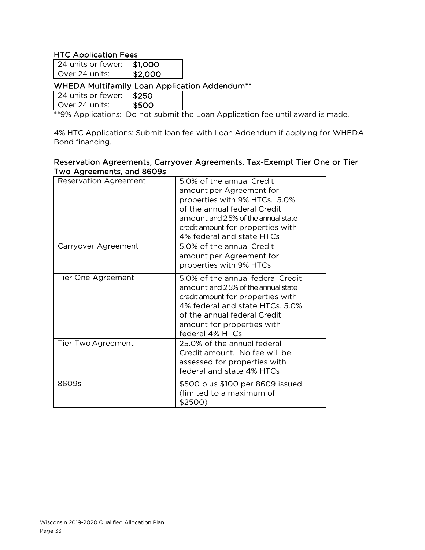## HTC Application Fees

| 24 units or fewer: 1 \$1,000 |         |
|------------------------------|---------|
| l Over 24 units:             | \$2,000 |

## WHEDA Multifamily Loan Application Addendum\*\*

24 units or fewer:  $\vert$  \$250

Over 24 units:  $\|$  \$500

\*\*9% Applications: Do not submit the Loan Application fee until award is made.

4% HTC Applications: Submit loan fee with Loan Addendum if applying for WHEDA Bond financing.

#### Reservation Agreements, Carryover Agreements, Tax-Exempt Tier One or Tier Two Agreements, and 8609s

| <b>Reservation Agreement</b> | 5.0% of the annual Credit<br>amount per Agreement for<br>properties with 9% HTCs. 5.0%<br>of the annual federal Credit<br>amount and 2.5% of the annual state<br>credit amount for properties with<br>4% federal and state HTCs   |
|------------------------------|-----------------------------------------------------------------------------------------------------------------------------------------------------------------------------------------------------------------------------------|
| Carryover Agreement          | 5.0% of the annual Credit<br>amount per Agreement for<br>properties with 9% HTCs                                                                                                                                                  |
| Tier One Agreement           | 5.0% of the annual federal Credit<br>amount and 2.5% of the annual state<br>credit amount for properties with<br>4% federal and state HTCs. 5.0%<br>of the annual federal Credit<br>amount for properties with<br>federal 4% HTCs |
| Tier Two Agreement           | 25.0% of the annual federal<br>Credit amount. No fee will be<br>assessed for properties with<br>federal and state 4% HTCs                                                                                                         |
| 8609s                        | \$500 plus \$100 per 8609 issued<br>(limited to a maximum of<br>\$2500)                                                                                                                                                           |